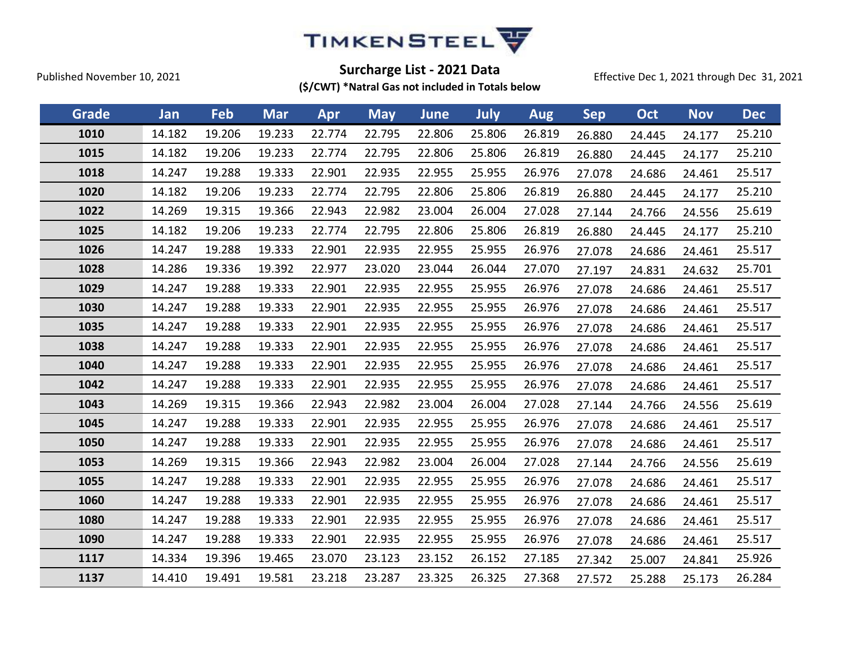

Effective Dec 1, 2021 through Dec 31, 2021

| Grade | Jan    | Feb    | <b>Mar</b> | Apr    | <b>May</b> | June   | July   | <b>Aug</b> | <b>Sep</b> | Oct    | <b>Nov</b> | <b>Dec</b> |
|-------|--------|--------|------------|--------|------------|--------|--------|------------|------------|--------|------------|------------|
| 1010  | 14.182 | 19.206 | 19.233     | 22.774 | 22.795     | 22.806 | 25.806 | 26.819     | 26.880     | 24.445 | 24.177     | 25.210     |
| 1015  | 14.182 | 19.206 | 19.233     | 22.774 | 22.795     | 22.806 | 25.806 | 26.819     | 26.880     | 24.445 | 24.177     | 25.210     |
| 1018  | 14.247 | 19.288 | 19.333     | 22.901 | 22.935     | 22.955 | 25.955 | 26.976     | 27.078     | 24.686 | 24.461     | 25.517     |
| 1020  | 14.182 | 19.206 | 19.233     | 22.774 | 22.795     | 22.806 | 25.806 | 26.819     | 26.880     | 24.445 | 24.177     | 25.210     |
| 1022  | 14.269 | 19.315 | 19.366     | 22.943 | 22.982     | 23.004 | 26.004 | 27.028     | 27.144     | 24.766 | 24.556     | 25.619     |
| 1025  | 14.182 | 19.206 | 19.233     | 22.774 | 22.795     | 22.806 | 25.806 | 26.819     | 26.880     | 24.445 | 24.177     | 25.210     |
| 1026  | 14.247 | 19.288 | 19.333     | 22.901 | 22.935     | 22.955 | 25.955 | 26.976     | 27.078     | 24.686 | 24.461     | 25.517     |
| 1028  | 14.286 | 19.336 | 19.392     | 22.977 | 23.020     | 23.044 | 26.044 | 27.070     | 27.197     | 24.831 | 24.632     | 25.701     |
| 1029  | 14.247 | 19.288 | 19.333     | 22.901 | 22.935     | 22.955 | 25.955 | 26.976     | 27.078     | 24.686 | 24.461     | 25.517     |
| 1030  | 14.247 | 19.288 | 19.333     | 22.901 | 22.935     | 22.955 | 25.955 | 26.976     | 27.078     | 24.686 | 24.461     | 25.517     |
| 1035  | 14.247 | 19.288 | 19.333     | 22.901 | 22.935     | 22.955 | 25.955 | 26.976     | 27.078     | 24.686 | 24.461     | 25.517     |
| 1038  | 14.247 | 19.288 | 19.333     | 22.901 | 22.935     | 22.955 | 25.955 | 26.976     | 27.078     | 24.686 | 24.461     | 25.517     |
| 1040  | 14.247 | 19.288 | 19.333     | 22.901 | 22.935     | 22.955 | 25.955 | 26.976     | 27.078     | 24.686 | 24.461     | 25.517     |
| 1042  | 14.247 | 19.288 | 19.333     | 22.901 | 22.935     | 22.955 | 25.955 | 26.976     | 27.078     | 24.686 | 24.461     | 25.517     |
| 1043  | 14.269 | 19.315 | 19.366     | 22.943 | 22.982     | 23.004 | 26.004 | 27.028     | 27.144     | 24.766 | 24.556     | 25.619     |
| 1045  | 14.247 | 19.288 | 19.333     | 22.901 | 22.935     | 22.955 | 25.955 | 26.976     | 27.078     | 24.686 | 24.461     | 25.517     |
| 1050  | 14.247 | 19.288 | 19.333     | 22.901 | 22.935     | 22.955 | 25.955 | 26.976     | 27.078     | 24.686 | 24.461     | 25.517     |
| 1053  | 14.269 | 19.315 | 19.366     | 22.943 | 22.982     | 23.004 | 26.004 | 27.028     | 27.144     | 24.766 | 24.556     | 25.619     |
| 1055  | 14.247 | 19.288 | 19.333     | 22.901 | 22.935     | 22.955 | 25.955 | 26.976     | 27.078     | 24.686 | 24.461     | 25.517     |
| 1060  | 14.247 | 19.288 | 19.333     | 22.901 | 22.935     | 22.955 | 25.955 | 26.976     | 27.078     | 24.686 | 24.461     | 25.517     |
| 1080  | 14.247 | 19.288 | 19.333     | 22.901 | 22.935     | 22.955 | 25.955 | 26.976     | 27.078     | 24.686 | 24.461     | 25.517     |
| 1090  | 14.247 | 19.288 | 19.333     | 22.901 | 22.935     | 22.955 | 25.955 | 26.976     | 27.078     | 24.686 | 24.461     | 25.517     |
| 1117  | 14.334 | 19.396 | 19.465     | 23.070 | 23.123     | 23.152 | 26.152 | 27.185     | 27.342     | 25.007 | 24.841     | 25.926     |
| 1137  | 14.410 | 19.491 | 19.581     | 23.218 | 23.287     | 23.325 | 26.325 | 27.368     | 27.572     | 25.288 | 25.173     | 26.284     |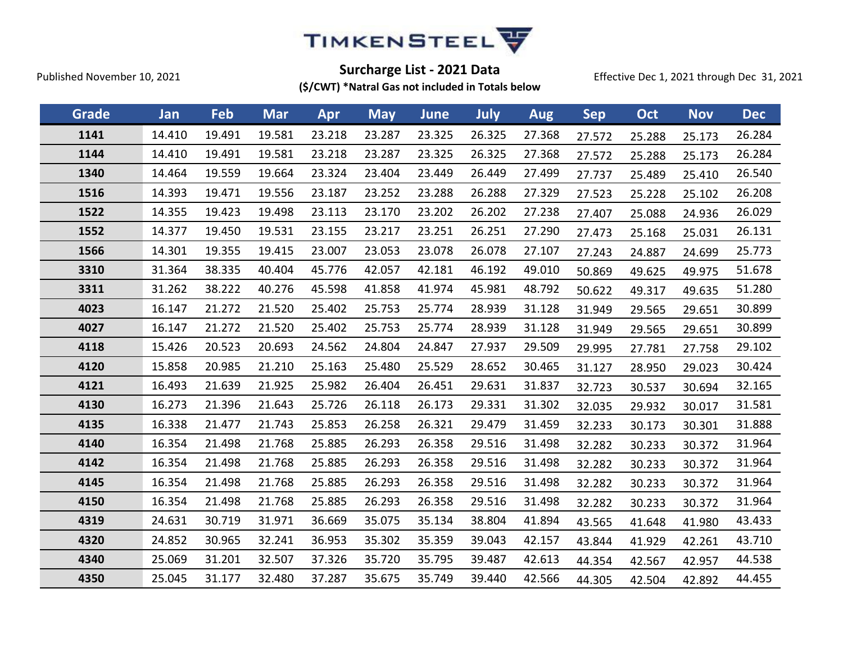

Effective Dec 1, 2021 through Dec 31, 2021

| Grade | Jan    | Feb    | <b>Mar</b> | Apr    | <b>May</b> | <b>June</b> | July   | <b>Aug</b> | <b>Sep</b> | Oct    | <b>Nov</b> | <b>Dec</b> |
|-------|--------|--------|------------|--------|------------|-------------|--------|------------|------------|--------|------------|------------|
| 1141  | 14.410 | 19.491 | 19.581     | 23.218 | 23.287     | 23.325      | 26.325 | 27.368     | 27.572     | 25.288 | 25.173     | 26.284     |
| 1144  | 14.410 | 19.491 | 19.581     | 23.218 | 23.287     | 23.325      | 26.325 | 27.368     | 27.572     | 25.288 | 25.173     | 26.284     |
| 1340  | 14.464 | 19.559 | 19.664     | 23.324 | 23.404     | 23.449      | 26.449 | 27.499     | 27.737     | 25.489 | 25.410     | 26.540     |
| 1516  | 14.393 | 19.471 | 19.556     | 23.187 | 23.252     | 23.288      | 26.288 | 27.329     | 27.523     | 25.228 | 25.102     | 26.208     |
| 1522  | 14.355 | 19.423 | 19.498     | 23.113 | 23.170     | 23.202      | 26.202 | 27.238     | 27.407     | 25.088 | 24.936     | 26.029     |
| 1552  | 14.377 | 19.450 | 19.531     | 23.155 | 23.217     | 23.251      | 26.251 | 27.290     | 27.473     | 25.168 | 25.031     | 26.131     |
| 1566  | 14.301 | 19.355 | 19.415     | 23.007 | 23.053     | 23.078      | 26.078 | 27.107     | 27.243     | 24.887 | 24.699     | 25.773     |
| 3310  | 31.364 | 38.335 | 40.404     | 45.776 | 42.057     | 42.181      | 46.192 | 49.010     | 50.869     | 49.625 | 49.975     | 51.678     |
| 3311  | 31.262 | 38.222 | 40.276     | 45.598 | 41.858     | 41.974      | 45.981 | 48.792     | 50.622     | 49.317 | 49.635     | 51.280     |
| 4023  | 16.147 | 21.272 | 21.520     | 25.402 | 25.753     | 25.774      | 28.939 | 31.128     | 31.949     | 29.565 | 29.651     | 30.899     |
| 4027  | 16.147 | 21.272 | 21.520     | 25.402 | 25.753     | 25.774      | 28.939 | 31.128     | 31.949     | 29.565 | 29.651     | 30.899     |
| 4118  | 15.426 | 20.523 | 20.693     | 24.562 | 24.804     | 24.847      | 27.937 | 29.509     | 29.995     | 27.781 | 27.758     | 29.102     |
| 4120  | 15.858 | 20.985 | 21.210     | 25.163 | 25.480     | 25.529      | 28.652 | 30.465     | 31.127     | 28.950 | 29.023     | 30.424     |
| 4121  | 16.493 | 21.639 | 21.925     | 25.982 | 26.404     | 26.451      | 29.631 | 31.837     | 32.723     | 30.537 | 30.694     | 32.165     |
| 4130  | 16.273 | 21.396 | 21.643     | 25.726 | 26.118     | 26.173      | 29.331 | 31.302     | 32.035     | 29.932 | 30.017     | 31.581     |
| 4135  | 16.338 | 21.477 | 21.743     | 25.853 | 26.258     | 26.321      | 29.479 | 31.459     | 32.233     | 30.173 | 30.301     | 31.888     |
| 4140  | 16.354 | 21.498 | 21.768     | 25.885 | 26.293     | 26.358      | 29.516 | 31.498     | 32.282     | 30.233 | 30.372     | 31.964     |
| 4142  | 16.354 | 21.498 | 21.768     | 25.885 | 26.293     | 26.358      | 29.516 | 31.498     | 32.282     | 30.233 | 30.372     | 31.964     |
| 4145  | 16.354 | 21.498 | 21.768     | 25.885 | 26.293     | 26.358      | 29.516 | 31.498     | 32.282     | 30.233 | 30.372     | 31.964     |
| 4150  | 16.354 | 21.498 | 21.768     | 25.885 | 26.293     | 26.358      | 29.516 | 31.498     | 32.282     | 30.233 | 30.372     | 31.964     |
| 4319  | 24.631 | 30.719 | 31.971     | 36.669 | 35.075     | 35.134      | 38.804 | 41.894     | 43.565     | 41.648 | 41.980     | 43.433     |
| 4320  | 24.852 | 30.965 | 32.241     | 36.953 | 35.302     | 35.359      | 39.043 | 42.157     | 43.844     | 41.929 | 42.261     | 43.710     |
| 4340  | 25.069 | 31.201 | 32.507     | 37.326 | 35.720     | 35.795      | 39.487 | 42.613     | 44.354     | 42.567 | 42.957     | 44.538     |
| 4350  | 25.045 | 31.177 | 32.480     | 37.287 | 35.675     | 35.749      | 39.440 | 42.566     | 44.305     | 42.504 | 42.892     | 44.455     |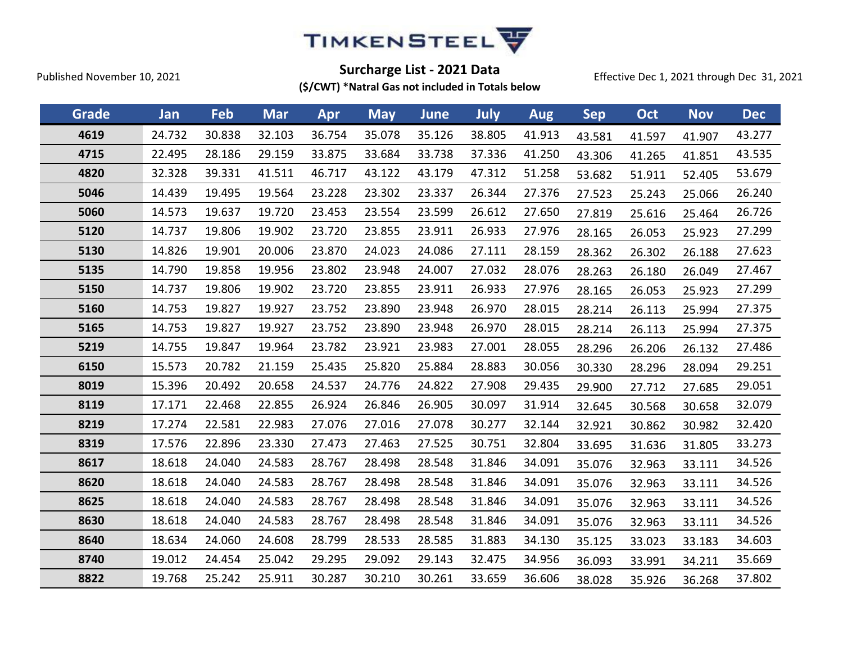

Effective Dec 1, 2021 through Dec 31, 2021

| Grade | Jan    | Feb    | <b>Mar</b> | Apr    | <b>May</b> | June   | July   | <b>Aug</b> | <b>Sep</b> | Oct    | <b>Nov</b> | <b>Dec</b> |
|-------|--------|--------|------------|--------|------------|--------|--------|------------|------------|--------|------------|------------|
| 4619  | 24.732 | 30.838 | 32.103     | 36.754 | 35.078     | 35.126 | 38.805 | 41.913     | 43.581     | 41.597 | 41.907     | 43.277     |
| 4715  | 22.495 | 28.186 | 29.159     | 33.875 | 33.684     | 33.738 | 37.336 | 41.250     | 43.306     | 41.265 | 41.851     | 43.535     |
| 4820  | 32.328 | 39.331 | 41.511     | 46.717 | 43.122     | 43.179 | 47.312 | 51.258     | 53.682     | 51.911 | 52.405     | 53.679     |
| 5046  | 14.439 | 19.495 | 19.564     | 23.228 | 23.302     | 23.337 | 26.344 | 27.376     | 27.523     | 25.243 | 25.066     | 26.240     |
| 5060  | 14.573 | 19.637 | 19.720     | 23.453 | 23.554     | 23.599 | 26.612 | 27.650     | 27.819     | 25.616 | 25.464     | 26.726     |
| 5120  | 14.737 | 19.806 | 19.902     | 23.720 | 23.855     | 23.911 | 26.933 | 27.976     | 28.165     | 26.053 | 25.923     | 27.299     |
| 5130  | 14.826 | 19.901 | 20.006     | 23.870 | 24.023     | 24.086 | 27.111 | 28.159     | 28.362     | 26.302 | 26.188     | 27.623     |
| 5135  | 14.790 | 19.858 | 19.956     | 23.802 | 23.948     | 24.007 | 27.032 | 28.076     | 28.263     | 26.180 | 26.049     | 27.467     |
| 5150  | 14.737 | 19.806 | 19.902     | 23.720 | 23.855     | 23.911 | 26.933 | 27.976     | 28.165     | 26.053 | 25.923     | 27.299     |
| 5160  | 14.753 | 19.827 | 19.927     | 23.752 | 23.890     | 23.948 | 26.970 | 28.015     | 28.214     | 26.113 | 25.994     | 27.375     |
| 5165  | 14.753 | 19.827 | 19.927     | 23.752 | 23.890     | 23.948 | 26.970 | 28.015     | 28.214     | 26.113 | 25.994     | 27.375     |
| 5219  | 14.755 | 19.847 | 19.964     | 23.782 | 23.921     | 23.983 | 27.001 | 28.055     | 28.296     | 26.206 | 26.132     | 27.486     |
| 6150  | 15.573 | 20.782 | 21.159     | 25.435 | 25.820     | 25.884 | 28.883 | 30.056     | 30.330     | 28.296 | 28.094     | 29.251     |
| 8019  | 15.396 | 20.492 | 20.658     | 24.537 | 24.776     | 24.822 | 27.908 | 29.435     | 29.900     | 27.712 | 27.685     | 29.051     |
| 8119  | 17.171 | 22.468 | 22.855     | 26.924 | 26.846     | 26.905 | 30.097 | 31.914     | 32.645     | 30.568 | 30.658     | 32.079     |
| 8219  | 17.274 | 22.581 | 22.983     | 27.076 | 27.016     | 27.078 | 30.277 | 32.144     | 32.921     | 30.862 | 30.982     | 32.420     |
| 8319  | 17.576 | 22.896 | 23.330     | 27.473 | 27.463     | 27.525 | 30.751 | 32.804     | 33.695     | 31.636 | 31.805     | 33.273     |
| 8617  | 18.618 | 24.040 | 24.583     | 28.767 | 28.498     | 28.548 | 31.846 | 34.091     | 35.076     | 32.963 | 33.111     | 34.526     |
| 8620  | 18.618 | 24.040 | 24.583     | 28.767 | 28.498     | 28.548 | 31.846 | 34.091     | 35.076     | 32.963 | 33.111     | 34.526     |
| 8625  | 18.618 | 24.040 | 24.583     | 28.767 | 28.498     | 28.548 | 31.846 | 34.091     | 35.076     | 32.963 | 33.111     | 34.526     |
| 8630  | 18.618 | 24.040 | 24.583     | 28.767 | 28.498     | 28.548 | 31.846 | 34.091     | 35.076     | 32.963 | 33.111     | 34.526     |
| 8640  | 18.634 | 24.060 | 24.608     | 28.799 | 28.533     | 28.585 | 31.883 | 34.130     | 35.125     | 33.023 | 33.183     | 34.603     |
| 8740  | 19.012 | 24.454 | 25.042     | 29.295 | 29.092     | 29.143 | 32.475 | 34.956     | 36.093     | 33.991 | 34.211     | 35.669     |
| 8822  | 19.768 | 25.242 | 25.911     | 30.287 | 30.210     | 30.261 | 33.659 | 36.606     | 38.028     | 35.926 | 36.268     | 37.802     |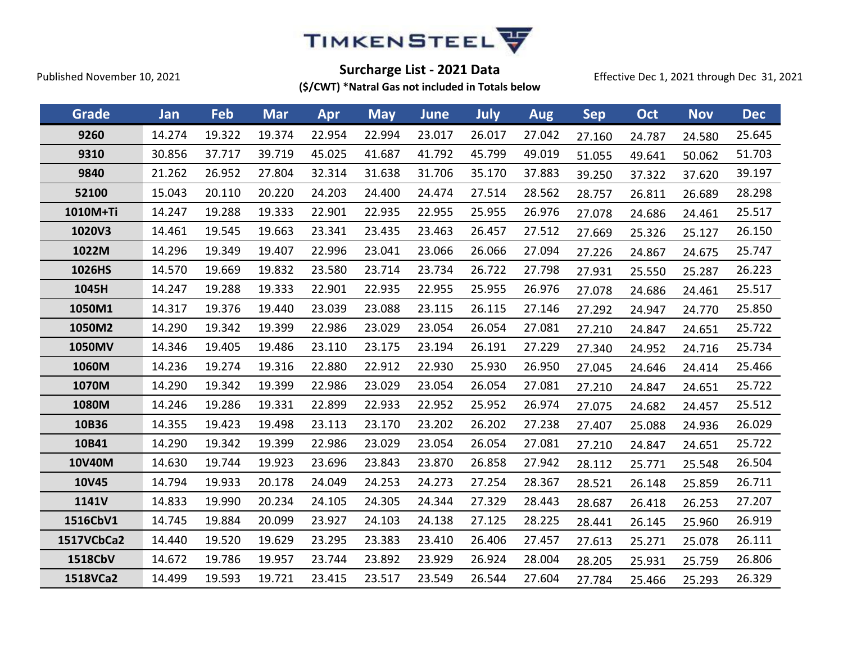

Effective Dec 1, 2021 through Dec 31, 2021

| Grade      | Jan    | Feb    | <b>Mar</b> | Apr    | <b>May</b> | <b>June</b> | July   | <b>Aug</b> | <b>Sep</b> | Oct    | <b>Nov</b> | <b>Dec</b> |
|------------|--------|--------|------------|--------|------------|-------------|--------|------------|------------|--------|------------|------------|
| 9260       | 14.274 | 19.322 | 19.374     | 22.954 | 22.994     | 23.017      | 26.017 | 27.042     | 27.160     | 24.787 | 24.580     | 25.645     |
| 9310       | 30.856 | 37.717 | 39.719     | 45.025 | 41.687     | 41.792      | 45.799 | 49.019     | 51.055     | 49.641 | 50.062     | 51.703     |
| 9840       | 21.262 | 26.952 | 27.804     | 32.314 | 31.638     | 31.706      | 35.170 | 37.883     | 39.250     | 37.322 | 37.620     | 39.197     |
| 52100      | 15.043 | 20.110 | 20.220     | 24.203 | 24.400     | 24.474      | 27.514 | 28.562     | 28.757     | 26.811 | 26.689     | 28.298     |
| 1010M+Ti   | 14.247 | 19.288 | 19.333     | 22.901 | 22.935     | 22.955      | 25.955 | 26.976     | 27.078     | 24.686 | 24.461     | 25.517     |
| 1020V3     | 14.461 | 19.545 | 19.663     | 23.341 | 23.435     | 23.463      | 26.457 | 27.512     | 27.669     | 25.326 | 25.127     | 26.150     |
| 1022M      | 14.296 | 19.349 | 19.407     | 22.996 | 23.041     | 23.066      | 26.066 | 27.094     | 27.226     | 24.867 | 24.675     | 25.747     |
| 1026HS     | 14.570 | 19.669 | 19.832     | 23.580 | 23.714     | 23.734      | 26.722 | 27.798     | 27.931     | 25.550 | 25.287     | 26.223     |
| 1045H      | 14.247 | 19.288 | 19.333     | 22.901 | 22.935     | 22.955      | 25.955 | 26.976     | 27.078     | 24.686 | 24.461     | 25.517     |
| 1050M1     | 14.317 | 19.376 | 19.440     | 23.039 | 23.088     | 23.115      | 26.115 | 27.146     | 27.292     | 24.947 | 24.770     | 25.850     |
| 1050M2     | 14.290 | 19.342 | 19.399     | 22.986 | 23.029     | 23.054      | 26.054 | 27.081     | 27.210     | 24.847 | 24.651     | 25.722     |
| 1050MV     | 14.346 | 19.405 | 19.486     | 23.110 | 23.175     | 23.194      | 26.191 | 27.229     | 27.340     | 24.952 | 24.716     | 25.734     |
| 1060M      | 14.236 | 19.274 | 19.316     | 22.880 | 22.912     | 22.930      | 25.930 | 26.950     | 27.045     | 24.646 | 24.414     | 25.466     |
| 1070M      | 14.290 | 19.342 | 19.399     | 22.986 | 23.029     | 23.054      | 26.054 | 27.081     | 27.210     | 24.847 | 24.651     | 25.722     |
| 1080M      | 14.246 | 19.286 | 19.331     | 22.899 | 22.933     | 22.952      | 25.952 | 26.974     | 27.075     | 24.682 | 24.457     | 25.512     |
| 10B36      | 14.355 | 19.423 | 19.498     | 23.113 | 23.170     | 23.202      | 26.202 | 27.238     | 27.407     | 25.088 | 24.936     | 26.029     |
| 10B41      | 14.290 | 19.342 | 19.399     | 22.986 | 23.029     | 23.054      | 26.054 | 27.081     | 27.210     | 24.847 | 24.651     | 25.722     |
| 10V40M     | 14.630 | 19.744 | 19.923     | 23.696 | 23.843     | 23.870      | 26.858 | 27.942     | 28.112     | 25.771 | 25.548     | 26.504     |
| 10V45      | 14.794 | 19.933 | 20.178     | 24.049 | 24.253     | 24.273      | 27.254 | 28.367     | 28.521     | 26.148 | 25.859     | 26.711     |
| 1141V      | 14.833 | 19.990 | 20.234     | 24.105 | 24.305     | 24.344      | 27.329 | 28.443     | 28.687     | 26.418 | 26.253     | 27.207     |
| 1516CbV1   | 14.745 | 19.884 | 20.099     | 23.927 | 24.103     | 24.138      | 27.125 | 28.225     | 28.441     | 26.145 | 25.960     | 26.919     |
| 1517VCbCa2 | 14.440 | 19.520 | 19.629     | 23.295 | 23.383     | 23.410      | 26.406 | 27.457     | 27.613     | 25.271 | 25.078     | 26.111     |
| 1518CbV    | 14.672 | 19.786 | 19.957     | 23.744 | 23.892     | 23.929      | 26.924 | 28.004     | 28.205     | 25.931 | 25.759     | 26.806     |
| 1518VCa2   | 14.499 | 19.593 | 19.721     | 23.415 | 23.517     | 23.549      | 26.544 | 27.604     | 27.784     | 25.466 | 25.293     | 26.329     |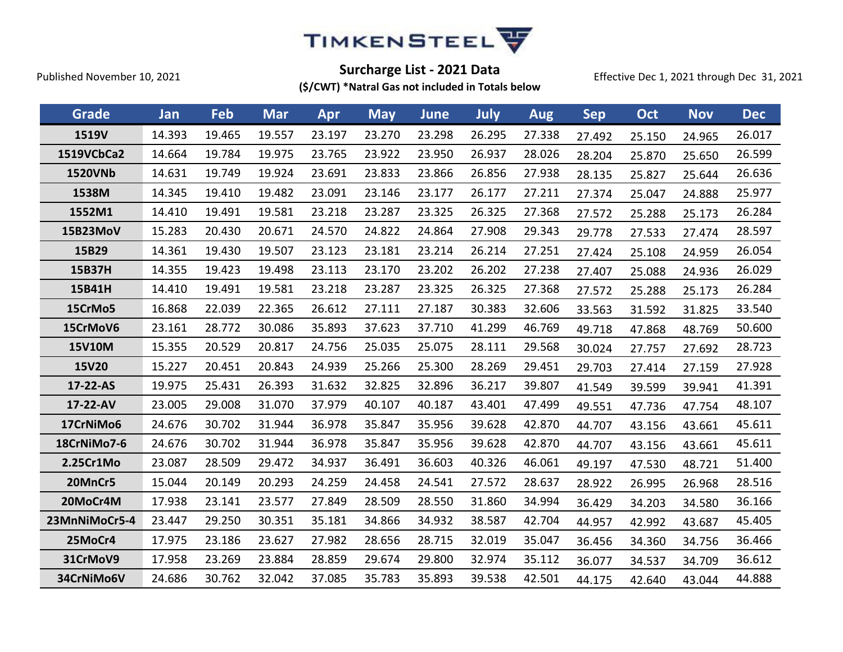

Effective Dec 1, 2021 through Dec 31, 2021

| Grade          | Jan    | Feb    | <b>Mar</b> | Apr    | <b>May</b> | <b>June</b> | <b>July</b> | <b>Aug</b> | <b>Sep</b> | Oct    | <b>Nov</b> | <b>Dec</b> |
|----------------|--------|--------|------------|--------|------------|-------------|-------------|------------|------------|--------|------------|------------|
| 1519V          | 14.393 | 19.465 | 19.557     | 23.197 | 23.270     | 23.298      | 26.295      | 27.338     | 27.492     | 25.150 | 24.965     | 26.017     |
| 1519VCbCa2     | 14.664 | 19.784 | 19.975     | 23.765 | 23.922     | 23.950      | 26.937      | 28.026     | 28.204     | 25.870 | 25.650     | 26.599     |
| <b>1520VNb</b> | 14.631 | 19.749 | 19.924     | 23.691 | 23.833     | 23.866      | 26.856      | 27.938     | 28.135     | 25.827 | 25.644     | 26.636     |
| 1538M          | 14.345 | 19.410 | 19.482     | 23.091 | 23.146     | 23.177      | 26.177      | 27.211     | 27.374     | 25.047 | 24.888     | 25.977     |
| 1552M1         | 14.410 | 19.491 | 19.581     | 23.218 | 23.287     | 23.325      | 26.325      | 27.368     | 27.572     | 25.288 | 25.173     | 26.284     |
| 15B23MoV       | 15.283 | 20.430 | 20.671     | 24.570 | 24.822     | 24.864      | 27.908      | 29.343     | 29.778     | 27.533 | 27.474     | 28.597     |
| 15B29          | 14.361 | 19.430 | 19.507     | 23.123 | 23.181     | 23.214      | 26.214      | 27.251     | 27.424     | 25.108 | 24.959     | 26.054     |
| 15B37H         | 14.355 | 19.423 | 19.498     | 23.113 | 23.170     | 23.202      | 26.202      | 27.238     | 27.407     | 25.088 | 24.936     | 26.029     |
| 15B41H         | 14.410 | 19.491 | 19.581     | 23.218 | 23.287     | 23.325      | 26.325      | 27.368     | 27.572     | 25.288 | 25.173     | 26.284     |
| 15CrMo5        | 16.868 | 22.039 | 22.365     | 26.612 | 27.111     | 27.187      | 30.383      | 32.606     | 33.563     | 31.592 | 31.825     | 33.540     |
| 15CrMoV6       | 23.161 | 28.772 | 30.086     | 35.893 | 37.623     | 37.710      | 41.299      | 46.769     | 49.718     | 47.868 | 48.769     | 50.600     |
| <b>15V10M</b>  | 15.355 | 20.529 | 20.817     | 24.756 | 25.035     | 25.075      | 28.111      | 29.568     | 30.024     | 27.757 | 27.692     | 28.723     |
| 15V20          | 15.227 | 20.451 | 20.843     | 24.939 | 25.266     | 25.300      | 28.269      | 29.451     | 29.703     | 27.414 | 27.159     | 27.928     |
| 17-22-AS       | 19.975 | 25.431 | 26.393     | 31.632 | 32.825     | 32.896      | 36.217      | 39.807     | 41.549     | 39.599 | 39.941     | 41.391     |
| 17-22-AV       | 23.005 | 29.008 | 31.070     | 37.979 | 40.107     | 40.187      | 43.401      | 47.499     | 49.551     | 47.736 | 47.754     | 48.107     |
| 17CrNiMo6      | 24.676 | 30.702 | 31.944     | 36.978 | 35.847     | 35.956      | 39.628      | 42.870     | 44.707     | 43.156 | 43.661     | 45.611     |
| 18CrNiMo7-6    | 24.676 | 30.702 | 31.944     | 36.978 | 35.847     | 35.956      | 39.628      | 42.870     | 44.707     | 43.156 | 43.661     | 45.611     |
| 2.25Cr1Mo      | 23.087 | 28.509 | 29.472     | 34.937 | 36.491     | 36.603      | 40.326      | 46.061     | 49.197     | 47.530 | 48.721     | 51.400     |
| 20MnCr5        | 15.044 | 20.149 | 20.293     | 24.259 | 24.458     | 24.541      | 27.572      | 28.637     | 28.922     | 26.995 | 26.968     | 28.516     |
| 20MoCr4M       | 17.938 | 23.141 | 23.577     | 27.849 | 28.509     | 28.550      | 31.860      | 34.994     | 36.429     | 34.203 | 34.580     | 36.166     |
| 23MnNiMoCr5-4  | 23.447 | 29.250 | 30.351     | 35.181 | 34.866     | 34.932      | 38.587      | 42.704     | 44.957     | 42.992 | 43.687     | 45.405     |
| 25MoCr4        | 17.975 | 23.186 | 23.627     | 27.982 | 28.656     | 28.715      | 32.019      | 35.047     | 36.456     | 34.360 | 34.756     | 36.466     |
| 31CrMoV9       | 17.958 | 23.269 | 23.884     | 28.859 | 29.674     | 29.800      | 32.974      | 35.112     | 36.077     | 34.537 | 34.709     | 36.612     |
| 34CrNiMo6V     | 24.686 | 30.762 | 32.042     | 37.085 | 35.783     | 35.893      | 39.538      | 42.501     | 44.175     | 42.640 | 43.044     | 44.888     |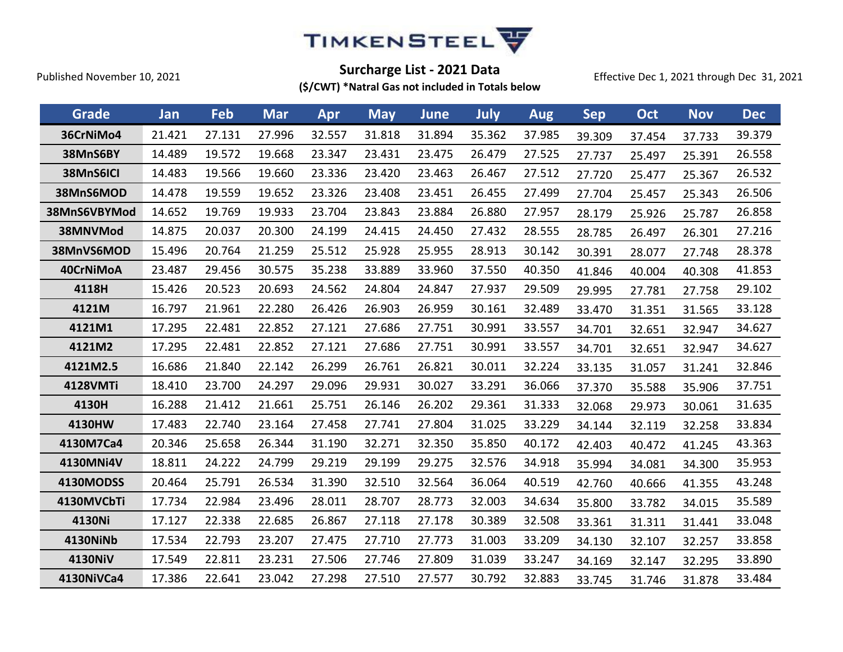

Effective Dec 1, 2021 through Dec 31, 2021

| Grade           | Jan    | Feb    | <b>Mar</b> | Apr    | <b>May</b> | <b>June</b> | July   | <b>Aug</b> | <b>Sep</b> | Oct    | <b>Nov</b> | <b>Dec</b> |
|-----------------|--------|--------|------------|--------|------------|-------------|--------|------------|------------|--------|------------|------------|
| 36CrNiMo4       | 21.421 | 27.131 | 27.996     | 32.557 | 31.818     | 31.894      | 35.362 | 37.985     | 39.309     | 37.454 | 37.733     | 39.379     |
| 38MnS6BY        | 14.489 | 19.572 | 19.668     | 23.347 | 23.431     | 23.475      | 26.479 | 27.525     | 27.737     | 25.497 | 25.391     | 26.558     |
| 38MnS6ICI       | 14.483 | 19.566 | 19.660     | 23.336 | 23.420     | 23.463      | 26.467 | 27.512     | 27.720     | 25.477 | 25.367     | 26.532     |
| 38MnS6MOD       | 14.478 | 19.559 | 19.652     | 23.326 | 23.408     | 23.451      | 26.455 | 27.499     | 27.704     | 25.457 | 25.343     | 26.506     |
| 38MnS6VBYMod    | 14.652 | 19.769 | 19.933     | 23.704 | 23.843     | 23.884      | 26.880 | 27.957     | 28.179     | 25.926 | 25.787     | 26.858     |
| 38MNVMod        | 14.875 | 20.037 | 20.300     | 24.199 | 24.415     | 24.450      | 27.432 | 28.555     | 28.785     | 26.497 | 26.301     | 27.216     |
| 38MnVS6MOD      | 15.496 | 20.764 | 21.259     | 25.512 | 25.928     | 25.955      | 28.913 | 30.142     | 30.391     | 28.077 | 27.748     | 28.378     |
| 40CrNiMoA       | 23.487 | 29.456 | 30.575     | 35.238 | 33.889     | 33.960      | 37.550 | 40.350     | 41.846     | 40.004 | 40.308     | 41.853     |
| 4118H           | 15.426 | 20.523 | 20.693     | 24.562 | 24.804     | 24.847      | 27.937 | 29.509     | 29.995     | 27.781 | 27.758     | 29.102     |
| 4121M           | 16.797 | 21.961 | 22.280     | 26.426 | 26.903     | 26.959      | 30.161 | 32.489     | 33.470     | 31.351 | 31.565     | 33.128     |
| 4121M1          | 17.295 | 22.481 | 22.852     | 27.121 | 27.686     | 27.751      | 30.991 | 33.557     | 34.701     | 32.651 | 32.947     | 34.627     |
| 4121M2          | 17.295 | 22.481 | 22.852     | 27.121 | 27.686     | 27.751      | 30.991 | 33.557     | 34.701     | 32.651 | 32.947     | 34.627     |
| 4121M2.5        | 16.686 | 21.840 | 22.142     | 26.299 | 26.761     | 26.821      | 30.011 | 32.224     | 33.135     | 31.057 | 31.241     | 32.846     |
| <b>4128VMTi</b> | 18.410 | 23.700 | 24.297     | 29.096 | 29.931     | 30.027      | 33.291 | 36.066     | 37.370     | 35.588 | 35.906     | 37.751     |
| 4130H           | 16.288 | 21.412 | 21.661     | 25.751 | 26.146     | 26.202      | 29.361 | 31.333     | 32.068     | 29.973 | 30.061     | 31.635     |
| 4130HW          | 17.483 | 22.740 | 23.164     | 27.458 | 27.741     | 27.804      | 31.025 | 33.229     | 34.144     | 32.119 | 32.258     | 33.834     |
| 4130M7Ca4       | 20.346 | 25.658 | 26.344     | 31.190 | 32.271     | 32.350      | 35.850 | 40.172     | 42.403     | 40.472 | 41.245     | 43.363     |
| 4130MNi4V       | 18.811 | 24.222 | 24.799     | 29.219 | 29.199     | 29.275      | 32.576 | 34.918     | 35.994     | 34.081 | 34.300     | 35.953     |
| 4130MODSS       | 20.464 | 25.791 | 26.534     | 31.390 | 32.510     | 32.564      | 36.064 | 40.519     | 42.760     | 40.666 | 41.355     | 43.248     |
| 4130MVCbTi      | 17.734 | 22.984 | 23.496     | 28.011 | 28.707     | 28.773      | 32.003 | 34.634     | 35.800     | 33.782 | 34.015     | 35.589     |
| 4130Ni          | 17.127 | 22.338 | 22.685     | 26.867 | 27.118     | 27.178      | 30.389 | 32.508     | 33.361     | 31.311 | 31.441     | 33.048     |
| 4130NiNb        | 17.534 | 22.793 | 23.207     | 27.475 | 27.710     | 27.773      | 31.003 | 33.209     | 34.130     | 32.107 | 32.257     | 33.858     |
| 4130NiV         | 17.549 | 22.811 | 23.231     | 27.506 | 27.746     | 27.809      | 31.039 | 33.247     | 34.169     | 32.147 | 32.295     | 33.890     |
| 4130NiVCa4      | 17.386 | 22.641 | 23.042     | 27.298 | 27.510     | 27.577      | 30.792 | 32.883     | 33.745     | 31.746 | 31.878     | 33.484     |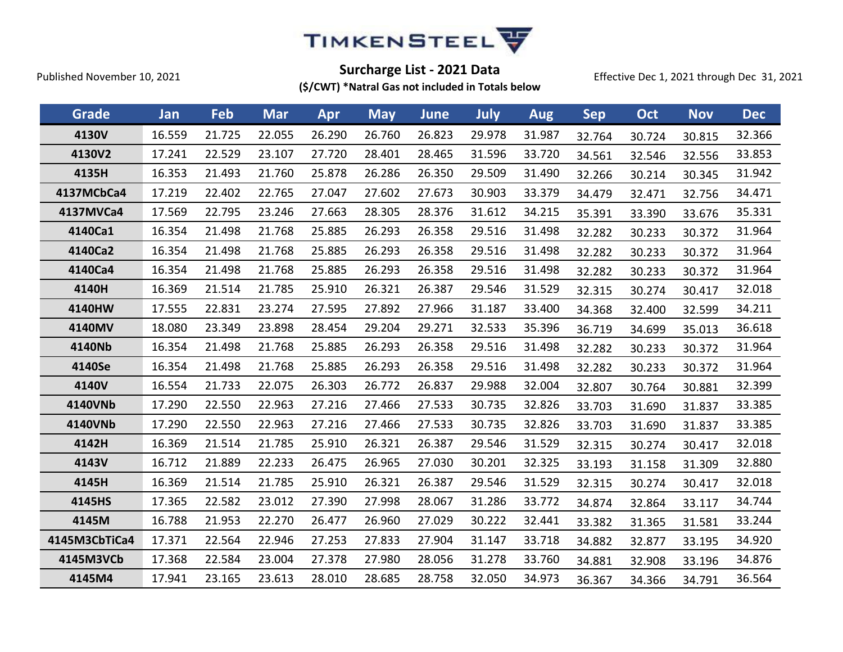

Effective Dec 1, 2021 through Dec 31, 2021

| Grade         | Jan    | Feb    | <b>Mar</b> | Apr    | <b>May</b> | <b>June</b> | July   | <b>Aug</b> | <b>Sep</b> | Oct    | <b>Nov</b> | <b>Dec</b> |
|---------------|--------|--------|------------|--------|------------|-------------|--------|------------|------------|--------|------------|------------|
| 4130V         | 16.559 | 21.725 | 22.055     | 26.290 | 26.760     | 26.823      | 29.978 | 31.987     | 32.764     | 30.724 | 30.815     | 32.366     |
| 4130V2        | 17.241 | 22.529 | 23.107     | 27.720 | 28.401     | 28.465      | 31.596 | 33.720     | 34.561     | 32.546 | 32.556     | 33.853     |
| 4135H         | 16.353 | 21.493 | 21.760     | 25.878 | 26.286     | 26.350      | 29.509 | 31.490     | 32.266     | 30.214 | 30.345     | 31.942     |
| 4137MCbCa4    | 17.219 | 22.402 | 22.765     | 27.047 | 27.602     | 27.673      | 30.903 | 33.379     | 34.479     | 32.471 | 32.756     | 34.471     |
| 4137MVCa4     | 17.569 | 22.795 | 23.246     | 27.663 | 28.305     | 28.376      | 31.612 | 34.215     | 35.391     | 33.390 | 33.676     | 35.331     |
| 4140Ca1       | 16.354 | 21.498 | 21.768     | 25.885 | 26.293     | 26.358      | 29.516 | 31.498     | 32.282     | 30.233 | 30.372     | 31.964     |
| 4140Ca2       | 16.354 | 21.498 | 21.768     | 25.885 | 26.293     | 26.358      | 29.516 | 31.498     | 32.282     | 30.233 | 30.372     | 31.964     |
| 4140Ca4       | 16.354 | 21.498 | 21.768     | 25.885 | 26.293     | 26.358      | 29.516 | 31.498     | 32.282     | 30.233 | 30.372     | 31.964     |
| 4140H         | 16.369 | 21.514 | 21.785     | 25.910 | 26.321     | 26.387      | 29.546 | 31.529     | 32.315     | 30.274 | 30.417     | 32.018     |
| 4140HW        | 17.555 | 22.831 | 23.274     | 27.595 | 27.892     | 27.966      | 31.187 | 33.400     | 34.368     | 32.400 | 32.599     | 34.211     |
| 4140MV        | 18.080 | 23.349 | 23.898     | 28.454 | 29.204     | 29.271      | 32.533 | 35.396     | 36.719     | 34.699 | 35.013     | 36.618     |
| 4140Nb        | 16.354 | 21.498 | 21.768     | 25.885 | 26.293     | 26.358      | 29.516 | 31.498     | 32.282     | 30.233 | 30.372     | 31.964     |
| 4140Se        | 16.354 | 21.498 | 21.768     | 25.885 | 26.293     | 26.358      | 29.516 | 31.498     | 32.282     | 30.233 | 30.372     | 31.964     |
| 4140V         | 16.554 | 21.733 | 22.075     | 26.303 | 26.772     | 26.837      | 29.988 | 32.004     | 32.807     | 30.764 | 30.881     | 32.399     |
| 4140VNb       | 17.290 | 22.550 | 22.963     | 27.216 | 27.466     | 27.533      | 30.735 | 32.826     | 33.703     | 31.690 | 31.837     | 33.385     |
| 4140VNb       | 17.290 | 22.550 | 22.963     | 27.216 | 27.466     | 27.533      | 30.735 | 32.826     | 33.703     | 31.690 | 31.837     | 33.385     |
| 4142H         | 16.369 | 21.514 | 21.785     | 25.910 | 26.321     | 26.387      | 29.546 | 31.529     | 32.315     | 30.274 | 30.417     | 32.018     |
| 4143V         | 16.712 | 21.889 | 22.233     | 26.475 | 26.965     | 27.030      | 30.201 | 32.325     | 33.193     | 31.158 | 31.309     | 32.880     |
| 4145H         | 16.369 | 21.514 | 21.785     | 25.910 | 26.321     | 26.387      | 29.546 | 31.529     | 32.315     | 30.274 | 30.417     | 32.018     |
| 4145HS        | 17.365 | 22.582 | 23.012     | 27.390 | 27.998     | 28.067      | 31.286 | 33.772     | 34.874     | 32.864 | 33.117     | 34.744     |
| 4145M         | 16.788 | 21.953 | 22.270     | 26.477 | 26.960     | 27.029      | 30.222 | 32.441     | 33.382     | 31.365 | 31.581     | 33.244     |
| 4145M3CbTiCa4 | 17.371 | 22.564 | 22.946     | 27.253 | 27.833     | 27.904      | 31.147 | 33.718     | 34.882     | 32.877 | 33.195     | 34.920     |
| 4145M3VCb     | 17.368 | 22.584 | 23.004     | 27.378 | 27.980     | 28.056      | 31.278 | 33.760     | 34.881     | 32.908 | 33.196     | 34.876     |
| 4145M4        | 17.941 | 23.165 | 23.613     | 28.010 | 28.685     | 28.758      | 32.050 | 34.973     | 36.367     | 34.366 | 34.791     | 36.564     |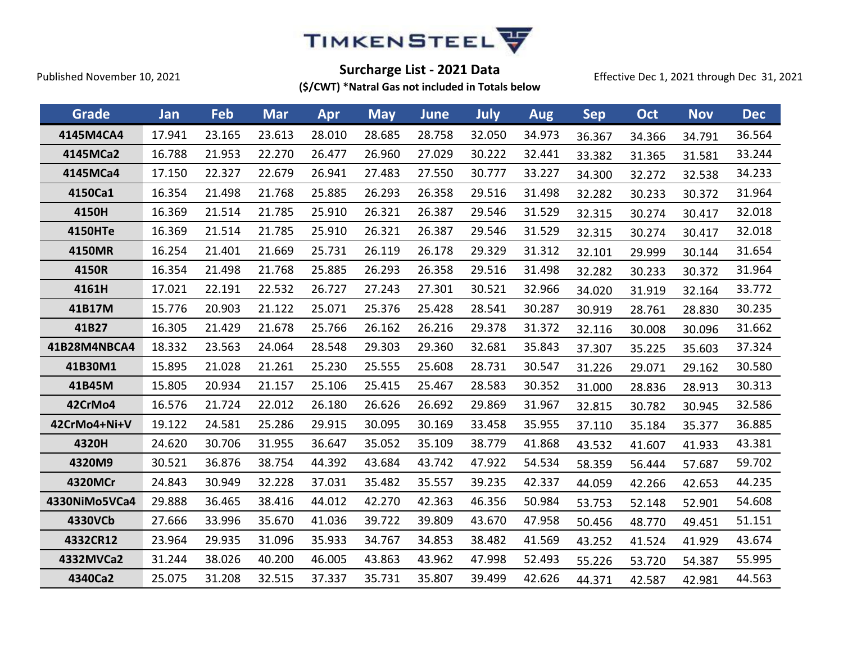

Effective Dec 1, 2021 through Dec 31, 2021

| Grade          | Jan    | Feb    | <b>Mar</b> | Apr    | <b>May</b> | <b>June</b> | July   | <b>Aug</b> | <b>Sep</b> | Oct    | <b>Nov</b> | <b>Dec</b> |
|----------------|--------|--------|------------|--------|------------|-------------|--------|------------|------------|--------|------------|------------|
| 4145M4CA4      | 17.941 | 23.165 | 23.613     | 28.010 | 28.685     | 28.758      | 32.050 | 34.973     | 36.367     | 34.366 | 34.791     | 36.564     |
| 4145MCa2       | 16.788 | 21.953 | 22.270     | 26.477 | 26.960     | 27.029      | 30.222 | 32.441     | 33.382     | 31.365 | 31.581     | 33.244     |
| 4145MCa4       | 17.150 | 22.327 | 22.679     | 26.941 | 27.483     | 27.550      | 30.777 | 33.227     | 34.300     | 32.272 | 32.538     | 34.233     |
| 4150Ca1        | 16.354 | 21.498 | 21.768     | 25.885 | 26.293     | 26.358      | 29.516 | 31.498     | 32.282     | 30.233 | 30.372     | 31.964     |
| 4150H          | 16.369 | 21.514 | 21.785     | 25.910 | 26.321     | 26.387      | 29.546 | 31.529     | 32.315     | 30.274 | 30.417     | 32.018     |
| <b>4150HTe</b> | 16.369 | 21.514 | 21.785     | 25.910 | 26.321     | 26.387      | 29.546 | 31.529     | 32.315     | 30.274 | 30.417     | 32.018     |
| 4150MR         | 16.254 | 21.401 | 21.669     | 25.731 | 26.119     | 26.178      | 29.329 | 31.312     | 32.101     | 29.999 | 30.144     | 31.654     |
| 4150R          | 16.354 | 21.498 | 21.768     | 25.885 | 26.293     | 26.358      | 29.516 | 31.498     | 32.282     | 30.233 | 30.372     | 31.964     |
| 4161H          | 17.021 | 22.191 | 22.532     | 26.727 | 27.243     | 27.301      | 30.521 | 32.966     | 34.020     | 31.919 | 32.164     | 33.772     |
| 41B17M         | 15.776 | 20.903 | 21.122     | 25.071 | 25.376     | 25.428      | 28.541 | 30.287     | 30.919     | 28.761 | 28.830     | 30.235     |
| 41B27          | 16.305 | 21.429 | 21.678     | 25.766 | 26.162     | 26.216      | 29.378 | 31.372     | 32.116     | 30.008 | 30.096     | 31.662     |
| 41B28M4NBCA4   | 18.332 | 23.563 | 24.064     | 28.548 | 29.303     | 29.360      | 32.681 | 35.843     | 37.307     | 35.225 | 35.603     | 37.324     |
| 41B30M1        | 15.895 | 21.028 | 21.261     | 25.230 | 25.555     | 25.608      | 28.731 | 30.547     | 31.226     | 29.071 | 29.162     | 30.580     |
| 41B45M         | 15.805 | 20.934 | 21.157     | 25.106 | 25.415     | 25.467      | 28.583 | 30.352     | 31.000     | 28.836 | 28.913     | 30.313     |
| 42CrMo4        | 16.576 | 21.724 | 22.012     | 26.180 | 26.626     | 26.692      | 29.869 | 31.967     | 32.815     | 30.782 | 30.945     | 32.586     |
| 42CrMo4+Ni+V   | 19.122 | 24.581 | 25.286     | 29.915 | 30.095     | 30.169      | 33.458 | 35.955     | 37.110     | 35.184 | 35.377     | 36.885     |
| 4320H          | 24.620 | 30.706 | 31.955     | 36.647 | 35.052     | 35.109      | 38.779 | 41.868     | 43.532     | 41.607 | 41.933     | 43.381     |
| 4320M9         | 30.521 | 36.876 | 38.754     | 44.392 | 43.684     | 43.742      | 47.922 | 54.534     | 58.359     | 56.444 | 57.687     | 59.702     |
| 4320MCr        | 24.843 | 30.949 | 32.228     | 37.031 | 35.482     | 35.557      | 39.235 | 42.337     | 44.059     | 42.266 | 42.653     | 44.235     |
| 4330NiMo5VCa4  | 29.888 | 36.465 | 38.416     | 44.012 | 42.270     | 42.363      | 46.356 | 50.984     | 53.753     | 52.148 | 52.901     | 54.608     |
| 4330VCb        | 27.666 | 33.996 | 35.670     | 41.036 | 39.722     | 39.809      | 43.670 | 47.958     | 50.456     | 48.770 | 49.451     | 51.151     |
| 4332CR12       | 23.964 | 29.935 | 31.096     | 35.933 | 34.767     | 34.853      | 38.482 | 41.569     | 43.252     | 41.524 | 41.929     | 43.674     |
| 4332MVCa2      | 31.244 | 38.026 | 40.200     | 46.005 | 43.863     | 43.962      | 47.998 | 52.493     | 55.226     | 53.720 | 54.387     | 55.995     |
| 4340Ca2        | 25.075 | 31.208 | 32.515     | 37.337 | 35.731     | 35.807      | 39.499 | 42.626     | 44.371     | 42.587 | 42.981     | 44.563     |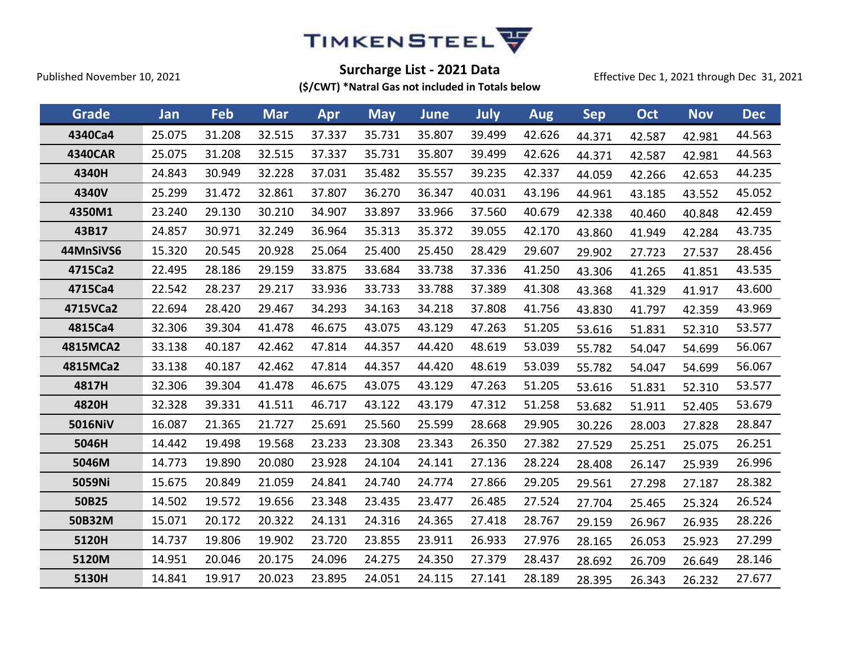

Effective Dec 1, 2021 through Dec 31, 2021

| Grade          | Jan    | Feb    | <b>Mar</b> | Apr    | <b>May</b> | June   | July   | <b>Aug</b> | <b>Sep</b> | Oct    | <b>Nov</b> | <b>Dec</b> |
|----------------|--------|--------|------------|--------|------------|--------|--------|------------|------------|--------|------------|------------|
| 4340Ca4        | 25.075 | 31.208 | 32.515     | 37.337 | 35.731     | 35.807 | 39.499 | 42.626     | 44.371     | 42.587 | 42.981     | 44.563     |
| <b>4340CAR</b> | 25.075 | 31.208 | 32.515     | 37.337 | 35.731     | 35.807 | 39.499 | 42.626     | 44.371     | 42.587 | 42.981     | 44.563     |
| 4340H          | 24.843 | 30.949 | 32.228     | 37.031 | 35.482     | 35.557 | 39.235 | 42.337     | 44.059     | 42.266 | 42.653     | 44.235     |
| 4340V          | 25.299 | 31.472 | 32.861     | 37.807 | 36.270     | 36.347 | 40.031 | 43.196     | 44.961     | 43.185 | 43.552     | 45.052     |
| 4350M1         | 23.240 | 29.130 | 30.210     | 34.907 | 33.897     | 33.966 | 37.560 | 40.679     | 42.338     | 40.460 | 40.848     | 42.459     |
| 43B17          | 24.857 | 30.971 | 32.249     | 36.964 | 35.313     | 35.372 | 39.055 | 42.170     | 43.860     | 41.949 | 42.284     | 43.735     |
| 44MnSiVS6      | 15.320 | 20.545 | 20.928     | 25.064 | 25.400     | 25.450 | 28.429 | 29.607     | 29.902     | 27.723 | 27.537     | 28.456     |
| 4715Ca2        | 22.495 | 28.186 | 29.159     | 33.875 | 33.684     | 33.738 | 37.336 | 41.250     | 43.306     | 41.265 | 41.851     | 43.535     |
| 4715Ca4        | 22.542 | 28.237 | 29.217     | 33.936 | 33.733     | 33.788 | 37.389 | 41.308     | 43.368     | 41.329 | 41.917     | 43.600     |
| 4715VCa2       | 22.694 | 28.420 | 29.467     | 34.293 | 34.163     | 34.218 | 37.808 | 41.756     | 43.830     | 41.797 | 42.359     | 43.969     |
| 4815Ca4        | 32.306 | 39.304 | 41.478     | 46.675 | 43.075     | 43.129 | 47.263 | 51.205     | 53.616     | 51.831 | 52.310     | 53.577     |
| 4815MCA2       | 33.138 | 40.187 | 42.462     | 47.814 | 44.357     | 44.420 | 48.619 | 53.039     | 55.782     | 54.047 | 54.699     | 56.067     |
| 4815MCa2       | 33.138 | 40.187 | 42.462     | 47.814 | 44.357     | 44.420 | 48.619 | 53.039     | 55.782     | 54.047 | 54.699     | 56.067     |
| 4817H          | 32.306 | 39.304 | 41.478     | 46.675 | 43.075     | 43.129 | 47.263 | 51.205     | 53.616     | 51.831 | 52.310     | 53.577     |
| 4820H          | 32.328 | 39.331 | 41.511     | 46.717 | 43.122     | 43.179 | 47.312 | 51.258     | 53.682     | 51.911 | 52.405     | 53.679     |
| 5016NiV        | 16.087 | 21.365 | 21.727     | 25.691 | 25.560     | 25.599 | 28.668 | 29.905     | 30.226     | 28.003 | 27.828     | 28.847     |
| 5046H          | 14.442 | 19.498 | 19.568     | 23.233 | 23.308     | 23.343 | 26.350 | 27.382     | 27.529     | 25.251 | 25.075     | 26.251     |
| 5046M          | 14.773 | 19.890 | 20.080     | 23.928 | 24.104     | 24.141 | 27.136 | 28.224     | 28.408     | 26.147 | 25.939     | 26.996     |
| 5059Ni         | 15.675 | 20.849 | 21.059     | 24.841 | 24.740     | 24.774 | 27.866 | 29.205     | 29.561     | 27.298 | 27.187     | 28.382     |
| 50B25          | 14.502 | 19.572 | 19.656     | 23.348 | 23.435     | 23.477 | 26.485 | 27.524     | 27.704     | 25.465 | 25.324     | 26.524     |
| 50B32M         | 15.071 | 20.172 | 20.322     | 24.131 | 24.316     | 24.365 | 27.418 | 28.767     | 29.159     | 26.967 | 26.935     | 28.226     |
| 5120H          | 14.737 | 19.806 | 19.902     | 23.720 | 23.855     | 23.911 | 26.933 | 27.976     | 28.165     | 26.053 | 25.923     | 27.299     |
| 5120M          | 14.951 | 20.046 | 20.175     | 24.096 | 24.275     | 24.350 | 27.379 | 28.437     | 28.692     | 26.709 | 26.649     | 28.146     |
| 5130H          | 14.841 | 19.917 | 20.023     | 23.895 | 24.051     | 24.115 | 27.141 | 28.189     | 28.395     | 26.343 | 26.232     | 27.677     |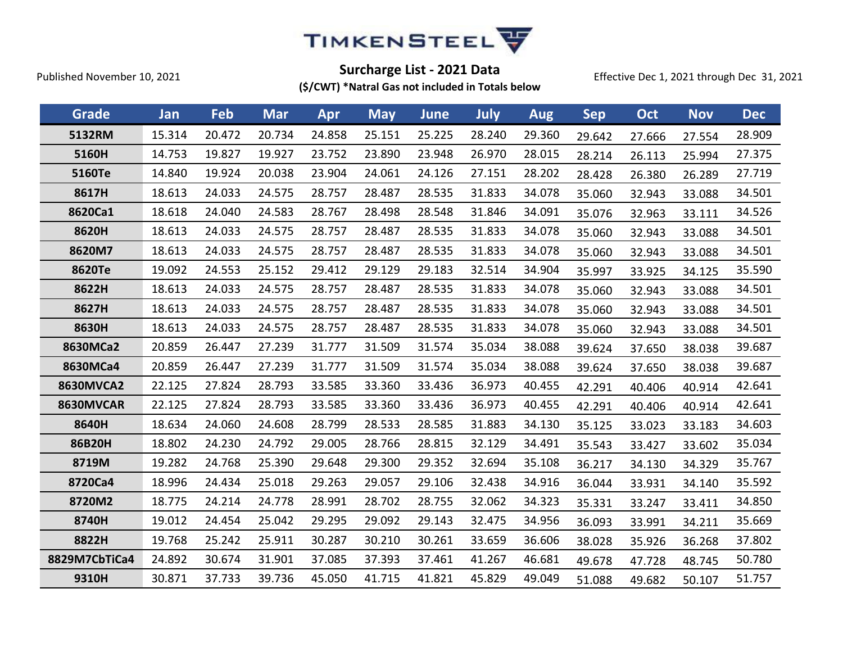

Effective Dec 1, 2021 through Dec 31, 2021

| Grade            | Jan    | Feb    | <b>Mar</b> | Apr    | <b>May</b> | <b>June</b> | July   | <b>Aug</b> | <b>Sep</b> | Oct    | <b>Nov</b> | <b>Dec</b> |
|------------------|--------|--------|------------|--------|------------|-------------|--------|------------|------------|--------|------------|------------|
| 5132RM           | 15.314 | 20.472 | 20.734     | 24.858 | 25.151     | 25.225      | 28.240 | 29.360     | 29.642     | 27.666 | 27.554     | 28.909     |
| 5160H            | 14.753 | 19.827 | 19.927     | 23.752 | 23.890     | 23.948      | 26.970 | 28.015     | 28.214     | 26.113 | 25.994     | 27.375     |
| 5160Te           | 14.840 | 19.924 | 20.038     | 23.904 | 24.061     | 24.126      | 27.151 | 28.202     | 28.428     | 26.380 | 26.289     | 27.719     |
| 8617H            | 18.613 | 24.033 | 24.575     | 28.757 | 28.487     | 28.535      | 31.833 | 34.078     | 35.060     | 32.943 | 33.088     | 34.501     |
| 8620Ca1          | 18.618 | 24.040 | 24.583     | 28.767 | 28.498     | 28.548      | 31.846 | 34.091     | 35.076     | 32.963 | 33.111     | 34.526     |
| 8620H            | 18.613 | 24.033 | 24.575     | 28.757 | 28.487     | 28.535      | 31.833 | 34.078     | 35.060     | 32.943 | 33.088     | 34.501     |
| 8620M7           | 18.613 | 24.033 | 24.575     | 28.757 | 28.487     | 28.535      | 31.833 | 34.078     | 35.060     | 32.943 | 33.088     | 34.501     |
| 8620Te           | 19.092 | 24.553 | 25.152     | 29.412 | 29.129     | 29.183      | 32.514 | 34.904     | 35.997     | 33.925 | 34.125     | 35.590     |
| 8622H            | 18.613 | 24.033 | 24.575     | 28.757 | 28.487     | 28.535      | 31.833 | 34.078     | 35.060     | 32.943 | 33.088     | 34.501     |
| 8627H            | 18.613 | 24.033 | 24.575     | 28.757 | 28.487     | 28.535      | 31.833 | 34.078     | 35.060     | 32.943 | 33.088     | 34.501     |
| 8630H            | 18.613 | 24.033 | 24.575     | 28.757 | 28.487     | 28.535      | 31.833 | 34.078     | 35.060     | 32.943 | 33.088     | 34.501     |
| 8630MCa2         | 20.859 | 26.447 | 27.239     | 31.777 | 31.509     | 31.574      | 35.034 | 38.088     | 39.624     | 37.650 | 38.038     | 39.687     |
| 8630MCa4         | 20.859 | 26.447 | 27.239     | 31.777 | 31.509     | 31.574      | 35.034 | 38.088     | 39.624     | 37.650 | 38.038     | 39.687     |
| <b>8630MVCA2</b> | 22.125 | 27.824 | 28.793     | 33.585 | 33.360     | 33.436      | 36.973 | 40.455     | 42.291     | 40.406 | 40.914     | 42.641     |
| 8630MVCAR        | 22.125 | 27.824 | 28.793     | 33.585 | 33.360     | 33.436      | 36.973 | 40.455     | 42.291     | 40.406 | 40.914     | 42.641     |
| 8640H            | 18.634 | 24.060 | 24.608     | 28.799 | 28.533     | 28.585      | 31.883 | 34.130     | 35.125     | 33.023 | 33.183     | 34.603     |
| 86B20H           | 18.802 | 24.230 | 24.792     | 29.005 | 28.766     | 28.815      | 32.129 | 34.491     | 35.543     | 33.427 | 33.602     | 35.034     |
| 8719M            | 19.282 | 24.768 | 25.390     | 29.648 | 29.300     | 29.352      | 32.694 | 35.108     | 36.217     | 34.130 | 34.329     | 35.767     |
| 8720Ca4          | 18.996 | 24.434 | 25.018     | 29.263 | 29.057     | 29.106      | 32.438 | 34.916     | 36.044     | 33.931 | 34.140     | 35.592     |
| 8720M2           | 18.775 | 24.214 | 24.778     | 28.991 | 28.702     | 28.755      | 32.062 | 34.323     | 35.331     | 33.247 | 33.411     | 34.850     |
| 8740H            | 19.012 | 24.454 | 25.042     | 29.295 | 29.092     | 29.143      | 32.475 | 34.956     | 36.093     | 33.991 | 34.211     | 35.669     |
| 8822H            | 19.768 | 25.242 | 25.911     | 30.287 | 30.210     | 30.261      | 33.659 | 36.606     | 38.028     | 35.926 | 36.268     | 37.802     |
| 8829M7CbTiCa4    | 24.892 | 30.674 | 31.901     | 37.085 | 37.393     | 37.461      | 41.267 | 46.681     | 49.678     | 47.728 | 48.745     | 50.780     |
| 9310H            | 30.871 | 37.733 | 39.736     | 45.050 | 41.715     | 41.821      | 45.829 | 49.049     | 51.088     | 49.682 | 50.107     | 51.757     |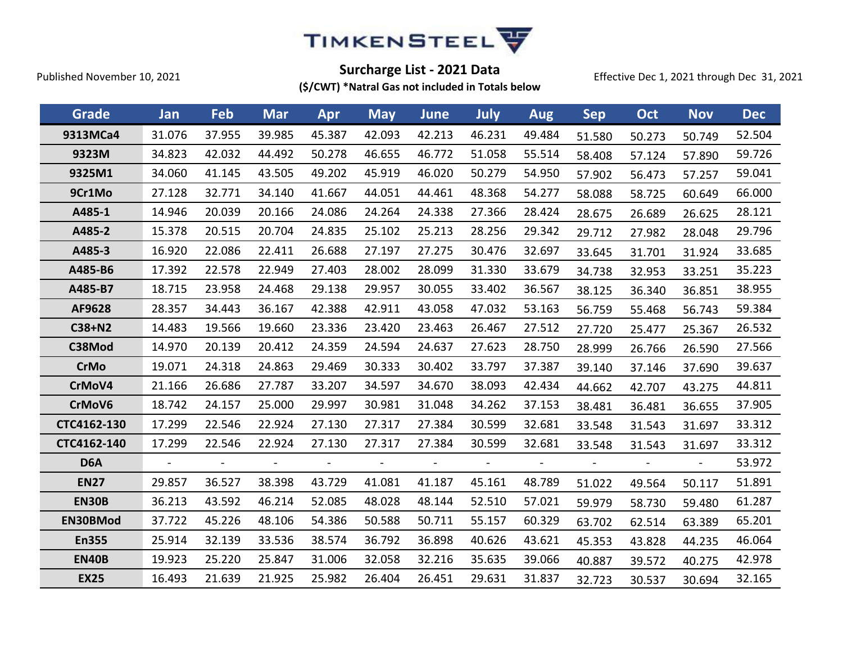

Effective Dec 1, 2021 through Dec 31, 2021

| Grade            | Jan            | Feb                          | <b>Mar</b> | Apr            | <b>May</b>     | <b>June</b>              | <b>July</b>    | <b>Aug</b>     | <b>Sep</b> | Oct    | <b>Nov</b>     | <b>Dec</b> |
|------------------|----------------|------------------------------|------------|----------------|----------------|--------------------------|----------------|----------------|------------|--------|----------------|------------|
| 9313MCa4         | 31.076         | 37.955                       | 39.985     | 45.387         | 42.093         | 42.213                   | 46.231         | 49.484         | 51.580     | 50.273 | 50.749         | 52.504     |
| 9323M            | 34.823         | 42.032                       | 44.492     | 50.278         | 46.655         | 46.772                   | 51.058         | 55.514         | 58.408     | 57.124 | 57.890         | 59.726     |
| 9325M1           | 34.060         | 41.145                       | 43.505     | 49.202         | 45.919         | 46.020                   | 50.279         | 54.950         | 57.902     | 56.473 | 57.257         | 59.041     |
| 9Cr1Mo           | 27.128         | 32.771                       | 34.140     | 41.667         | 44.051         | 44.461                   | 48.368         | 54.277         | 58.088     | 58.725 | 60.649         | 66.000     |
| A485-1           | 14.946         | 20.039                       | 20.166     | 24.086         | 24.264         | 24.338                   | 27.366         | 28.424         | 28.675     | 26.689 | 26.625         | 28.121     |
| A485-2           | 15.378         | 20.515                       | 20.704     | 24.835         | 25.102         | 25.213                   | 28.256         | 29.342         | 29.712     | 27.982 | 28.048         | 29.796     |
| A485-3           | 16.920         | 22.086                       | 22.411     | 26.688         | 27.197         | 27.275                   | 30.476         | 32.697         | 33.645     | 31.701 | 31.924         | 33.685     |
| A485-B6          | 17.392         | 22.578                       | 22.949     | 27.403         | 28.002         | 28.099                   | 31.330         | 33.679         | 34.738     | 32.953 | 33.251         | 35.223     |
| A485-B7          | 18.715         | 23.958                       | 24.468     | 29.138         | 29.957         | 30.055                   | 33.402         | 36.567         | 38.125     | 36.340 | 36.851         | 38.955     |
| AF9628           | 28.357         | 34.443                       | 36.167     | 42.388         | 42.911         | 43.058                   | 47.032         | 53.163         | 56.759     | 55.468 | 56.743         | 59.384     |
| C38+N2           | 14.483         | 19.566                       | 19.660     | 23.336         | 23.420         | 23.463                   | 26.467         | 27.512         | 27.720     | 25.477 | 25.367         | 26.532     |
| C38Mod           | 14.970         | 20.139                       | 20.412     | 24.359         | 24.594         | 24.637                   | 27.623         | 28.750         | 28.999     | 26.766 | 26.590         | 27.566     |
| <b>CrMo</b>      | 19.071         | 24.318                       | 24.863     | 29.469         | 30.333         | 30.402                   | 33.797         | 37.387         | 39.140     | 37.146 | 37.690         | 39.637     |
| CrMoV4           | 21.166         | 26.686                       | 27.787     | 33.207         | 34.597         | 34.670                   | 38.093         | 42.434         | 44.662     | 42.707 | 43.275         | 44.811     |
| CrMoV6           | 18.742         | 24.157                       | 25.000     | 29.997         | 30.981         | 31.048                   | 34.262         | 37.153         | 38.481     | 36.481 | 36.655         | 37.905     |
| CTC4162-130      | 17.299         | 22.546                       | 22.924     | 27.130         | 27.317         | 27.384                   | 30.599         | 32.681         | 33.548     | 31.543 | 31.697         | 33.312     |
| CTC4162-140      | 17.299         | 22.546                       | 22.924     | 27.130         | 27.317         | 27.384                   | 30.599         | 32.681         | 33.548     | 31.543 | 31.697         | 33.312     |
| D <sub>6</sub> A | $\blacksquare$ | $\qquad \qquad \blacksquare$ |            | $\overline{a}$ | $\blacksquare$ | $\overline{\phantom{a}}$ | $\overline{a}$ | $\blacksquare$ |            |        | $\blacksquare$ | 53.972     |
| <b>EN27</b>      | 29.857         | 36.527                       | 38.398     | 43.729         | 41.081         | 41.187                   | 45.161         | 48.789         | 51.022     | 49.564 | 50.117         | 51.891     |
| <b>EN30B</b>     | 36.213         | 43.592                       | 46.214     | 52.085         | 48.028         | 48.144                   | 52.510         | 57.021         | 59.979     | 58.730 | 59.480         | 61.287     |
| EN30BMod         | 37.722         | 45.226                       | 48.106     | 54.386         | 50.588         | 50.711                   | 55.157         | 60.329         | 63.702     | 62.514 | 63.389         | 65.201     |
| <b>En355</b>     | 25.914         | 32.139                       | 33.536     | 38.574         | 36.792         | 36.898                   | 40.626         | 43.621         | 45.353     | 43.828 | 44.235         | 46.064     |
| <b>EN40B</b>     | 19.923         | 25.220                       | 25.847     | 31.006         | 32.058         | 32.216                   | 35.635         | 39.066         | 40.887     | 39.572 | 40.275         | 42.978     |
| <b>EX25</b>      | 16.493         | 21.639                       | 21.925     | 25.982         | 26.404         | 26.451                   | 29.631         | 31.837         | 32.723     | 30.537 | 30.694         | 32.165     |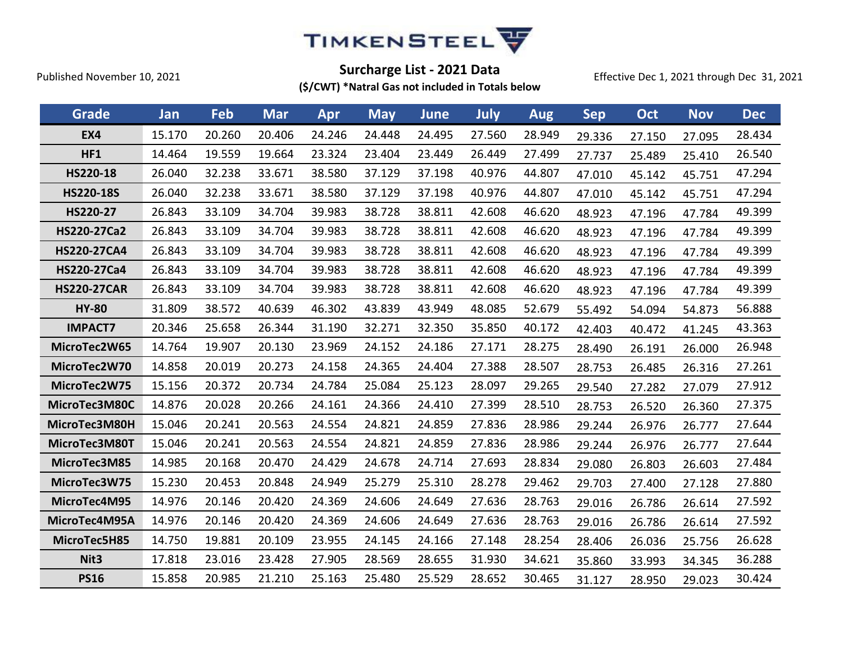

Effective Dec 1, 2021 through Dec 31, 2021

| Grade              | Jan    | Feb    | <b>Mar</b> | Apr    | <b>May</b> | <b>June</b> | July   | <b>Aug</b> | <b>Sep</b> | Oct    | <b>Nov</b> | <b>Dec</b> |
|--------------------|--------|--------|------------|--------|------------|-------------|--------|------------|------------|--------|------------|------------|
| <b>EX4</b>         | 15.170 | 20.260 | 20.406     | 24.246 | 24.448     | 24.495      | 27.560 | 28.949     | 29.336     | 27.150 | 27.095     | 28.434     |
| HF1                | 14.464 | 19.559 | 19.664     | 23.324 | 23.404     | 23.449      | 26.449 | 27.499     | 27.737     | 25.489 | 25.410     | 26.540     |
| HS220-18           | 26.040 | 32.238 | 33.671     | 38.580 | 37.129     | 37.198      | 40.976 | 44.807     | 47.010     | 45.142 | 45.751     | 47.294     |
| <b>HS220-18S</b>   | 26.040 | 32.238 | 33.671     | 38.580 | 37.129     | 37.198      | 40.976 | 44.807     | 47.010     | 45.142 | 45.751     | 47.294     |
| HS220-27           | 26.843 | 33.109 | 34.704     | 39.983 | 38.728     | 38.811      | 42.608 | 46.620     | 48.923     | 47.196 | 47.784     | 49.399     |
| HS220-27Ca2        | 26.843 | 33.109 | 34.704     | 39.983 | 38.728     | 38.811      | 42.608 | 46.620     | 48.923     | 47.196 | 47.784     | 49.399     |
| <b>HS220-27CA4</b> | 26.843 | 33.109 | 34.704     | 39.983 | 38.728     | 38.811      | 42.608 | 46.620     | 48.923     | 47.196 | 47.784     | 49.399     |
| HS220-27Ca4        | 26.843 | 33.109 | 34.704     | 39.983 | 38.728     | 38.811      | 42.608 | 46.620     | 48.923     | 47.196 | 47.784     | 49.399     |
| <b>HS220-27CAR</b> | 26.843 | 33.109 | 34.704     | 39.983 | 38.728     | 38.811      | 42.608 | 46.620     | 48.923     | 47.196 | 47.784     | 49.399     |
| <b>HY-80</b>       | 31.809 | 38.572 | 40.639     | 46.302 | 43.839     | 43.949      | 48.085 | 52.679     | 55.492     | 54.094 | 54.873     | 56.888     |
| <b>IMPACT7</b>     | 20.346 | 25.658 | 26.344     | 31.190 | 32.271     | 32.350      | 35.850 | 40.172     | 42.403     | 40.472 | 41.245     | 43.363     |
| MicroTec2W65       | 14.764 | 19.907 | 20.130     | 23.969 | 24.152     | 24.186      | 27.171 | 28.275     | 28.490     | 26.191 | 26.000     | 26.948     |
| MicroTec2W70       | 14.858 | 20.019 | 20.273     | 24.158 | 24.365     | 24.404      | 27.388 | 28.507     | 28.753     | 26.485 | 26.316     | 27.261     |
| MicroTec2W75       | 15.156 | 20.372 | 20.734     | 24.784 | 25.084     | 25.123      | 28.097 | 29.265     | 29.540     | 27.282 | 27.079     | 27.912     |
| MicroTec3M80C      | 14.876 | 20.028 | 20.266     | 24.161 | 24.366     | 24.410      | 27.399 | 28.510     | 28.753     | 26.520 | 26.360     | 27.375     |
| MicroTec3M80H      | 15.046 | 20.241 | 20.563     | 24.554 | 24.821     | 24.859      | 27.836 | 28.986     | 29.244     | 26.976 | 26.777     | 27.644     |
| MicroTec3M80T      | 15.046 | 20.241 | 20.563     | 24.554 | 24.821     | 24.859      | 27.836 | 28.986     | 29.244     | 26.976 | 26.777     | 27.644     |
| MicroTec3M85       | 14.985 | 20.168 | 20.470     | 24.429 | 24.678     | 24.714      | 27.693 | 28.834     | 29.080     | 26.803 | 26.603     | 27.484     |
| MicroTec3W75       | 15.230 | 20.453 | 20.848     | 24.949 | 25.279     | 25.310      | 28.278 | 29.462     | 29.703     | 27.400 | 27.128     | 27.880     |
| MicroTec4M95       | 14.976 | 20.146 | 20.420     | 24.369 | 24.606     | 24.649      | 27.636 | 28.763     | 29.016     | 26.786 | 26.614     | 27.592     |
| MicroTec4M95A      | 14.976 | 20.146 | 20.420     | 24.369 | 24.606     | 24.649      | 27.636 | 28.763     | 29.016     | 26.786 | 26.614     | 27.592     |
| MicroTec5H85       | 14.750 | 19.881 | 20.109     | 23.955 | 24.145     | 24.166      | 27.148 | 28.254     | 28.406     | 26.036 | 25.756     | 26.628     |
| Nit <sub>3</sub>   | 17.818 | 23.016 | 23.428     | 27.905 | 28.569     | 28.655      | 31.930 | 34.621     | 35.860     | 33.993 | 34.345     | 36.288     |
| <b>PS16</b>        | 15.858 | 20.985 | 21.210     | 25.163 | 25.480     | 25.529      | 28.652 | 30.465     | 31.127     | 28.950 | 29.023     | 30.424     |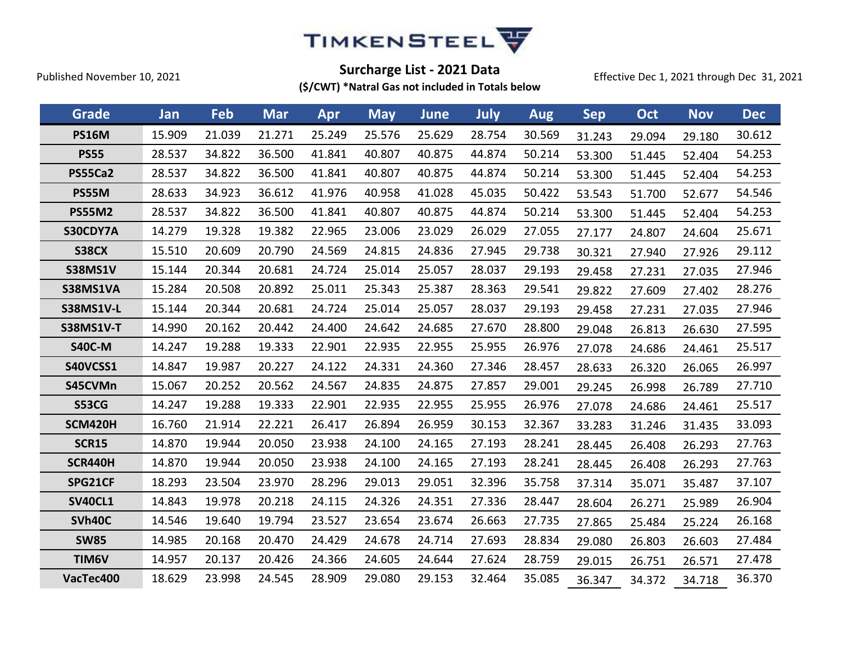

Effective Dec 1, 2021 through Dec 31, 2021

| Grade            | Jan    | Feb    | <b>Mar</b> | Apr    | <b>May</b> | <b>June</b> | <b>July</b> | <b>Aug</b> | <b>Sep</b> | Oct    | <b>Nov</b> | <b>Dec</b> |
|------------------|--------|--------|------------|--------|------------|-------------|-------------|------------|------------|--------|------------|------------|
| <b>PS16M</b>     | 15.909 | 21.039 | 21.271     | 25.249 | 25.576     | 25.629      | 28.754      | 30.569     | 31.243     | 29.094 | 29.180     | 30.612     |
| <b>PS55</b>      | 28.537 | 34.822 | 36.500     | 41.841 | 40.807     | 40.875      | 44.874      | 50.214     | 53.300     | 51.445 | 52.404     | 54.253     |
| <b>PS55Ca2</b>   | 28.537 | 34.822 | 36.500     | 41.841 | 40.807     | 40.875      | 44.874      | 50.214     | 53.300     | 51.445 | 52.404     | 54.253     |
| <b>PS55M</b>     | 28.633 | 34.923 | 36.612     | 41.976 | 40.958     | 41.028      | 45.035      | 50.422     | 53.543     | 51.700 | 52.677     | 54.546     |
| <b>PS55M2</b>    | 28.537 | 34.822 | 36.500     | 41.841 | 40.807     | 40.875      | 44.874      | 50.214     | 53.300     | 51.445 | 52.404     | 54.253     |
| S30CDY7A         | 14.279 | 19.328 | 19.382     | 22.965 | 23.006     | 23.029      | 26.029      | 27.055     | 27.177     | 24.807 | 24.604     | 25.671     |
| <b>S38CX</b>     | 15.510 | 20.609 | 20.790     | 24.569 | 24.815     | 24.836      | 27.945      | 29.738     | 30.321     | 27.940 | 27.926     | 29.112     |
| <b>S38MS1V</b>   | 15.144 | 20.344 | 20.681     | 24.724 | 25.014     | 25.057      | 28.037      | 29.193     | 29.458     | 27.231 | 27.035     | 27.946     |
| S38MS1VA         | 15.284 | 20.508 | 20.892     | 25.011 | 25.343     | 25.387      | 28.363      | 29.541     | 29.822     | 27.609 | 27.402     | 28.276     |
| <b>S38MS1V-L</b> | 15.144 | 20.344 | 20.681     | 24.724 | 25.014     | 25.057      | 28.037      | 29.193     | 29.458     | 27.231 | 27.035     | 27.946     |
| <b>S38MS1V-T</b> | 14.990 | 20.162 | 20.442     | 24.400 | 24.642     | 24.685      | 27.670      | 28.800     | 29.048     | 26.813 | 26.630     | 27.595     |
| <b>S40C-M</b>    | 14.247 | 19.288 | 19.333     | 22.901 | 22.935     | 22.955      | 25.955      | 26.976     | 27.078     | 24.686 | 24.461     | 25.517     |
| S40VCSS1         | 14.847 | 19.987 | 20.227     | 24.122 | 24.331     | 24.360      | 27.346      | 28.457     | 28.633     | 26.320 | 26.065     | 26.997     |
| S45CVMn          | 15.067 | 20.252 | 20.562     | 24.567 | 24.835     | 24.875      | 27.857      | 29.001     | 29.245     | 26.998 | 26.789     | 27.710     |
| <b>S53CG</b>     | 14.247 | 19.288 | 19.333     | 22.901 | 22.935     | 22.955      | 25.955      | 26.976     | 27.078     | 24.686 | 24.461     | 25.517     |
| <b>SCM420H</b>   | 16.760 | 21.914 | 22.221     | 26.417 | 26.894     | 26.959      | 30.153      | 32.367     | 33.283     | 31.246 | 31.435     | 33.093     |
| <b>SCR15</b>     | 14.870 | 19.944 | 20.050     | 23.938 | 24.100     | 24.165      | 27.193      | 28.241     | 28.445     | 26.408 | 26.293     | 27.763     |
| <b>SCR440H</b>   | 14.870 | 19.944 | 20.050     | 23.938 | 24.100     | 24.165      | 27.193      | 28.241     | 28.445     | 26.408 | 26.293     | 27.763     |
| SPG21CF          | 18.293 | 23.504 | 23.970     | 28.296 | 29.013     | 29.051      | 32.396      | 35.758     | 37.314     | 35.071 | 35.487     | 37.107     |
| <b>SV40CL1</b>   | 14.843 | 19.978 | 20.218     | 24.115 | 24.326     | 24.351      | 27.336      | 28.447     | 28.604     | 26.271 | 25.989     | 26.904     |
| SVh40C           | 14.546 | 19.640 | 19.794     | 23.527 | 23.654     | 23.674      | 26.663      | 27.735     | 27.865     | 25.484 | 25.224     | 26.168     |
| <b>SW85</b>      | 14.985 | 20.168 | 20.470     | 24.429 | 24.678     | 24.714      | 27.693      | 28.834     | 29.080     | 26.803 | 26.603     | 27.484     |
| TIM6V            | 14.957 | 20.137 | 20.426     | 24.366 | 24.605     | 24.644      | 27.624      | 28.759     | 29.015     | 26.751 | 26.571     | 27.478     |
| VacTec400        | 18.629 | 23.998 | 24.545     | 28.909 | 29.080     | 29.153      | 32.464      | 35.085     | 36.347     | 34.372 | 34.718     | 36.370     |